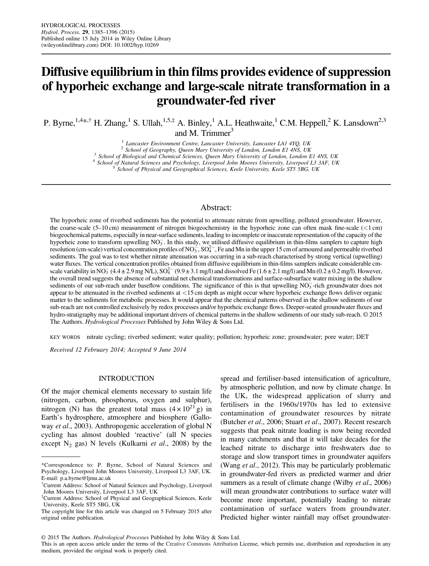# Diffusive equilibrium in thin films provides evidence of suppression of hyporheic exchange and large-scale nitrate transformation in a groundwater-fed river

P. Byrne,<sup>1,4\*,†</sup> H. Zhang,<sup>1</sup> S. Ullah,<sup>1,5,‡</sup> A. Binley,<sup>1</sup> A.L. Heathwaite,<sup>1</sup> C.M. Heppell,<sup>2</sup> K. Lansdown<sup>2,3</sup> and M. Trimmer $3$ 

<sup>1</sup> Lancaster Environment Centre, Lancaster University, Lancaster LA1 4YQ, UK<br><sup>2</sup> School of Geography, Queen Mary University of London, London E1 4NS, UK<br><sup>3</sup> School of Biological and Chemical Sciences, Queen Mary Universi

## Abstract:

The hyporheic zone of riverbed sediments has the potential to attenuate nitrate from upwelling, polluted groundwater. However, the coarse-scale (5–10 cm) measurement of nitrogen biogeochemistry in the hyporheic zone can often mask fine-scale (<1 cm) biogeochemical patterns, especially in near-surface sediments, leading to incomplete or inaccurate representation of the capacity of the hyporheic zone to transform upwelling  $NO_3^-$ . In this study, we utilised diffusive equilibrium in thin-films samplers to capture high resolution (cm-scale) vertical concentration profiles of NO<sub>3</sub>, SO<sub>4</sub><sup>-</sup>, Fe and Mn in the upper 15 cm of armoured and permeable riverbed sediments. The goal was to test whether nitrate attenuation was occurring in a sub-reach characterised by strong vertical (upwelling) water fluxes. The vertical concentration profiles obtained from diffusive equilibrium in thin-films samplers indicate considerable cmscale variability in NO<sub>3</sub> (4.4 ± 2.9 mg N/L), SO<sub>4</sub><sup>2</sup> (9.9 ± 3.1 mg/l) and dissolved Fe (1.6 ± 2.1 mg/l) and Mn (0.2 ± 0.2 mg/l). However, the overall trend suggests the absence of substantial net chemical transformations and surface-subsurface water mixing in the shallow sediments of our sub-reach under baseflow conditions. The significance of this is that upwelling  $NO<sub>3</sub>$ -rich groundwater does not appear to be attenuated in the riverbed sediments at <15 cm depth as might occur where hyporheic exchange flows deliver organic matter to the sediments for metabolic processes. It would appear that the chemical patterns observed in the shallow sediments of our sub-reach are not controlled exclusively by redox processes and/or hyporheic exchange flows. Deeper-seated groundwater fluxes and hydro-stratigraphy may be additional important drivers of chemical patterns in the shallow sediments of our study sub-reach. © 2015 The Authors. Hydrological Processes Published by John Wiley & Sons Ltd.

KEY WORDS nitrate cycling; riverbed sediment; water quality; pollution; hyporheic zone; groundwater; pore water; DET

Received 12 February 2014; Accepted 9 June 2014

#### INTRODUCTION

Of the major chemical elements necessary to sustain life (nitrogen, carbon, phosphorus, oxygen and sulphur), nitrogen (N) has the greatest total mass  $(4 \times 10^{21} \text{ g})$  in Earth's hydrosphere, atmosphere and biosphere (Galloway et al., 2003). Anthropogenic acceleration of global N cycling has almost doubled 'reactive' (all N species except  $N_2$  gas) N levels (Kulkarni *et al.*, 2008) by the spread and fertiliser-based intensification of agriculture, by atmospheric pollution, and now by climate change. In the UK, the widespread application of slurry and fertilisers in the 1960s/1970s has led to extensive contamination of groundwater resources by nitrate (Butcher et al., 2006; Stuart et al., 2007). Recent research suggests that peak nitrate loading is now being recorded in many catchments and that it will take decades for the leached nitrate to discharge into freshwaters due to storage and slow transport times in groundwater aquifers (Wang *et al.*, 2012). This may be particularly problematic in groundwater-fed rivers as predicted warmer and drier summers as a result of climate change (Wilby *et al.*, 2006) will mean groundwater contributions to surface water will become more important, potentially leading to nitrate contamination of surface waters from groundwater. Predicted higher winter rainfall may offset groundwater-

© 2015 The Authors. Hydrological Processes Published by John Wiley & Sons Ltd.

<sup>\*</sup>Correspondence to: P. Byrne, School of Natural Sciences and Psychology, Liverpool John Moores University, Liverpool L3 3AF, UK. E-mail: p.a.byrne@ljmu.ac.uk

<sup>†</sup> Current Address: School of Natural Sciences and Psychology, Liverpool John Moores University, Liverpool L3 3AF, UK

<sup>‡</sup> Current Address: School of Physical and Geographical Sciences, Keele University, Keele ST5 5BG, UK

The copyright line for this article was changed on 5 February 2015 after original online publication.

This is an open access article under the terms of the [Creative Commons Attribution](http://creativecommons.org/licenses/by/4.0/) License, which permits use, distribution and reproduction in any medium, provided the original work is properly cited.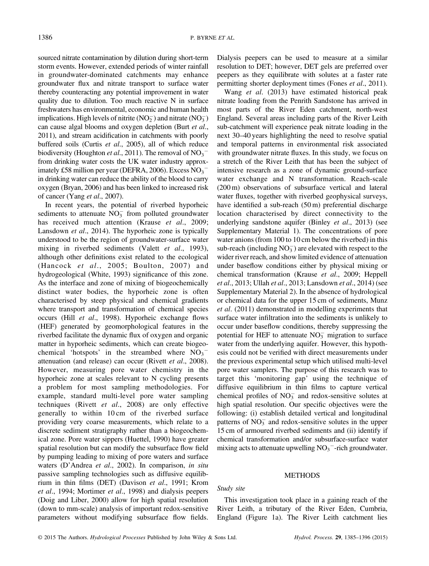sourced nitrate contamination by dilution during short-term storm events. However, extended periods of winter rainfall in groundwater-dominated catchments may enhance groundwater flux and nitrate transport to surface water thereby counteracting any potential improvement in water quality due to dilution. Too much reactive N in surface freshwaters has environmental, economic and human health implications. High levels of nitrite  $(NO<sub>2</sub><sup>-</sup>)$  and nitrate  $(NO<sub>3</sub><sup>-</sup>)$ can cause algal blooms and oxygen depletion (Burt et al., 2011), and stream acidification in catchments with poorly buffered soils (Curtis et al., 2005), all of which reduce biodiversity (Houghton *et al.*, 2011). The removal of  $NO<sub>3</sub>$ from drinking water costs the UK water industry approximately £58 million per year (DEFRA, 2006). Excess  $\mathrm{NO_3}^$ in drinking water can reduce the ability of the blood to carry oxygen (Bryan, 2006) and has been linked to increased risk of cancer (Yang et al., 2007).

In recent years, the potential of riverbed hyporheic sediments to attenuate  $NO_3^-$  from polluted groundwater has received much attention (Krause et al., 2009; Lansdown et al., 2014). The hyporheic zone is typically understood to be the region of groundwater-surface water mixing in riverbed sediments (Valett et al., 1993), although other definitions exist related to the ecological (Hancock et al., 2005; Boulton, 2007) and hydrogeological (White, 1993) significance of this zone. As the interface and zone of mixing of biogeochemically distinct water bodies, the hyporheic zone is often characterised by steep physical and chemical gradients where transport and transformation of chemical species occurs (Hill et al., 1998). Hyporheic exchange flows (HEF) generated by geomorphological features in the riverbed facilitate the dynamic flux of oxygen and organic matter in hyporheic sediments, which can create biogeochemical 'hotspots' in the streambed where  $NO<sub>3</sub>$ attenuation (and release) can occur (Rivett et al., 2008). However, measuring pore water chemistry in the hyporheic zone at scales relevant to N cycling presents a problem for most sampling methodologies. For example, standard multi-level pore water sampling techniques (Rivett et al., 2008) are only effective generally to within 10 cm of the riverbed surface providing very coarse measurements, which relate to a discrete sediment stratigraphy rather than a biogeochemical zone. Pore water sippers (Huettel, 1990) have greater spatial resolution but can modify the subsurface flow field by pumping leading to mixing of pore waters and surface waters (D'Andrea et al., 2002). In comparison, in situ passive sampling technologies such as diffusive equilibrium in thin films (DET) (Davison et al., 1991; Krom et al., 1994; Mortimer et al., 1998) and dialysis peepers (Doig and Liber, 2000) allow for high spatial resolution (down to mm-scale) analysis of important redox-sensitive parameters without modifying subsurface flow fields.

Dialysis peepers can be used to measure at a similar resolution to DET; however, DET gels are preferred over peepers as they equilibrate with solutes at a faster rate permitting shorter deployment times (Fones et al., 2011).

Wang et al. (2013) have estimated historical peak nitrate loading from the Penrith Sandstone has arrived in most parts of the River Eden catchment, north-west England. Several areas including parts of the River Leith sub-catchment will experience peak nitrate loading in the next 30–40 years highlighting the need to resolve spatial and temporal patterns in environmental risk associated with groundwater nitrate fluxes. In this study, we focus on a stretch of the River Leith that has been the subject of intensive research as a zone of dynamic ground-surface water exchange and N transformation. Reach-scale (200 m) observations of subsurface vertical and lateral water fluxes, together with riverbed geophysical surveys, have identified a sub-reach (50 m) preferential discharge location characterised by direct connectivity to the underlying sandstone aquifer (Binley et al., 2013) (see Supplementary Material 1). The concentrations of pore water anions (from 100 to 10 cm below the riverbed) in this sub-reach (including  $NO<sub>3</sub><sup>-</sup>$ ) are elevated with respect to the wider river reach, and show limited evidence of attenuation under baseflow conditions either by physical mixing or chemical transformation (Krause et al., 2009; Heppell et al., 2013; Ullah et al., 2013; Lansdown et al., 2014) (see Supplementary Material 2). In the absence of hydrological or chemical data for the upper 15 cm of sediments, Munz et al. (2011) demonstrated in modelling experiments that surface water infiltration into the sediments is unlikely to occur under baseflow conditions, thereby suppressing the potential for HEF to attenuate  $NO_3^-$  migration to surface water from the underlying aquifer. However, this hypothesis could not be verified with direct measurements under the previous experimental setup which utilised multi-level pore water samplers. The purpose of this research was to target this 'monitoring gap' using the technique of diffusive equilibrium in thin films to capture vertical chemical profiles of  $NO_3^-$  and redox-sensitive solutes at high spatial resolution. Our specific objectives were the following: (i) establish detailed vertical and longitudinal patterns of  $NO<sub>3</sub><sup>-</sup>$  and redox-sensitive solutes in the upper 15 cm of armoured riverbed sediments and (ii) identify if chemical transformation and/or subsurface-surface water mixing acts to attenuate upwelling  $NO<sub>3</sub><sup>-</sup>$ -rich groundwater.

#### **METHODS**

#### Study site

This investigation took place in a gaining reach of the River Leith, a tributary of the River Eden, Cumbria, England (Figure 1a). The River Leith catchment lies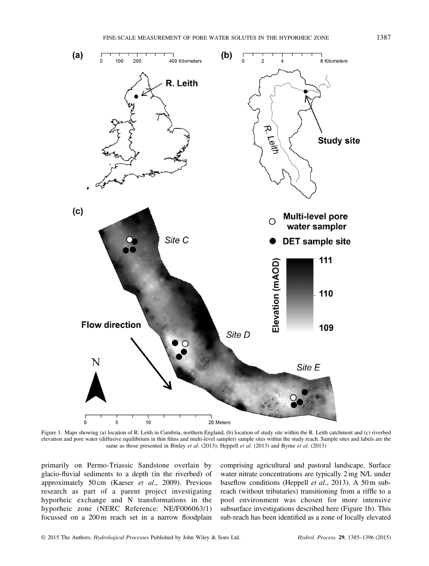

Figure 1. Maps showing (a) location of R. Leith in Cumbria, northern England, (b) location of study site within the R. Leith catchment and (c) riverbed elevation and pore water (diffusive equilibrium in thin films and multi-level sampler) sample sites within the study reach. Sample sites and labels are the same as those presented in Binley et al. (2013); Heppell et al. (2013) and Byrne et al. (2013)

primarily on Permo-Triassic Sandstone overlain by glacio-fluvial sediments to a depth (in the riverbed) of approximately 50 cm (Kaeser et al., 2009). Previous research as part of a parent project investigating hyporheic exchange and N transformations in the hyporheic zone (NERC Reference: NE/F006063/1) focussed on a 200 m reach set in a narrow floodplain

comprising agricultural and pastoral landscape. Surface water nitrate concentrations are typically 2 mg N/L under baseflow conditions (Heppell et al., 2013). A 50 m subreach (without tributaries) transitioning from a riffle to a pool environment was chosen for more intensive subsurface investigations described here (Figure 1b). This sub-reach has been identified as a zone of locally elevated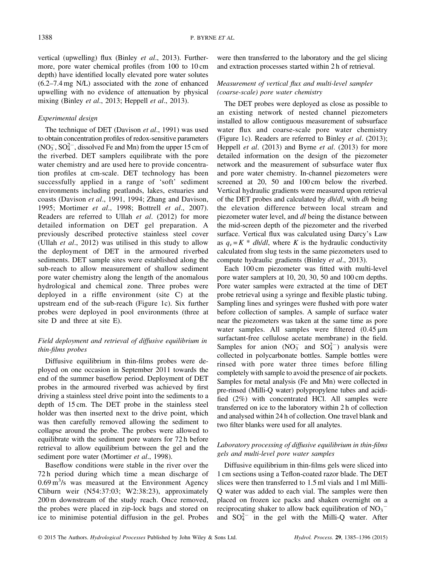vertical (upwelling) flux (Binley et al., 2013). Furthermore, pore water chemical profiles (from 100 to 10 cm depth) have identified locally elevated pore water solutes (6.2–7.4 mg N/L) associated with the zone of enhanced upwelling with no evidence of attenuation by physical mixing (Binley et al., 2013; Heppell et al., 2013).

## Experimental design

The technique of DET (Davison et al., 1991) was used to obtain concentration profiles of redox-sensitive parameters  $(NO<sub>3</sub><sup>-</sup>, SO<sub>4</sub><sup>2</sup><sup>-</sup>, dissolved Fe and Mn) from the upper 15 cm of$ the riverbed. DET samplers equilibrate with the pore water chemistry and are used here to provide concentration profiles at cm-scale. DET technology has been successfully applied in a range of 'soft' sediment environments including peatlands, lakes, estuaries and coasts (Davison et al., 1991, 1994; Zhang and Davison, 1995; Mortimer et al., 1998; Bottrell et al., 2007). Readers are referred to Ullah et al. (2012) for more detailed information on DET gel preparation. A previously described protective stainless steel cover (Ullah et al., 2012) was utilised in this study to allow the deployment of DET in the armoured riverbed sediments. DET sample sites were established along the sub-reach to allow measurement of shallow sediment pore water chemistry along the length of the anomalous hydrological and chemical zone. Three probes were deployed in a riffle environment (site C) at the upstream end of the sub-reach (Figure 1c). Six further probes were deployed in pool environments (three at site D and three at site E).

# Field deployment and retrieval of diffusive equilibrium in thin-films probes

Diffusive equilibrium in thin-films probes were deployed on one occasion in September 2011 towards the end of the summer baseflow period. Deployment of DET probes in the armoured riverbed was achieved by first driving a stainless steel drive point into the sediments to a depth of 15 cm. The DET probe in the stainless steel holder was then inserted next to the drive point, which was then carefully removed allowing the sediment to collapse around the probe. The probes were allowed to equilibrate with the sediment pore waters for 72 h before retrieval to allow equilibrium between the gel and the sediment pore water (Mortimer et al., 1998).

Baseflow conditions were stable in the river over the 72 h period during which time a mean discharge of  $0.69 \text{ m}^3/\text{s}$  was measured at the Environment Agency Cliburn weir (N54:37:03; W2:38:23), approximately 200 m downstream of the study reach. Once removed, the probes were placed in zip-lock bags and stored on ice to minimise potential diffusion in the gel. Probes were then transferred to the laboratory and the gel slicing and extraction processes started within 2 h of retrieval.

# Measurement of vertical flux and multi-level sampler (coarse-scale) pore water chemistry

The DET probes were deployed as close as possible to an existing network of nested channel piezometers installed to allow contiguous measurement of subsurface water flux and coarse-scale pore water chemistry (Figure 1c). Readers are referred to Binley *et al.* (2013); Heppell *et al.* (2013) and Byrne *et al.* (2013) for more detailed information on the design of the piezometer network and the measurement of subsurface water flux and pore water chemistry. In-channel piezometers were screened at 20, 50 and 100 cm below the riverbed. Vertical hydraulic gradients were measured upon retrieval of the DET probes and calculated by *dh/dl*, with *dh* being the elevation difference between local stream and piezometer water level, and dl being the distance between the mid-screen depth of the piezometer and the riverbed surface. Vertical flux was calculated using Darcy's Law as  $q_v = K^*$  *dh/dl*, where K is the hydraulic conductivity calculated from slug tests in the same piezometers used to compute hydraulic gradients (Binley et al., 2013).

Each 100 cm piezometer was fitted with multi-level pore water samplers at 10, 20, 30, 50 and 100 cm depths. Pore water samples were extracted at the time of DET probe retrieval using a syringe and flexible plastic tubing. Sampling lines and syringes were flushed with pore water before collection of samples. A sample of surface water near the piezometers was taken at the same time as pore water samples. All samples were filtered (0.45 μm surfactant-free cellulose acetate membrane) in the field. Samples for anion  $(NO_3^-$  and  $SO_4^{2-})$  analysis were collected in polycarbonate bottles. Sample bottles were rinsed with pore water three times before filling completely with sample to avoid the presence of air pockets. Samples for metal analysis (Fe and Mn) were collected in pre-rinsed (Milli-Q water) polypropylene tubes and acidified (2%) with concentrated HCl. All samples were transferred on ice to the laboratory within 2 h of collection and analysed within 24 h of collection. One travel blank and two filter blanks were used for all analytes.

# Laboratory processing of diffusive equilibrium in thin-films gels and multi-level pore water samples

Diffusive equilibrium in thin-films gels were sliced into 1 cm sections using a Teflon-coated razor blade. The DET slices were then transferred to 1.5 ml vials and 1 ml Milli-Q water was added to each vial. The samples were then placed on frozen ice packs and shaken overnight on a reciprocating shaker to allow back equilibration of  $NO_3^$ and  $SO_4^2$  in the gel with the Milli-Q water. After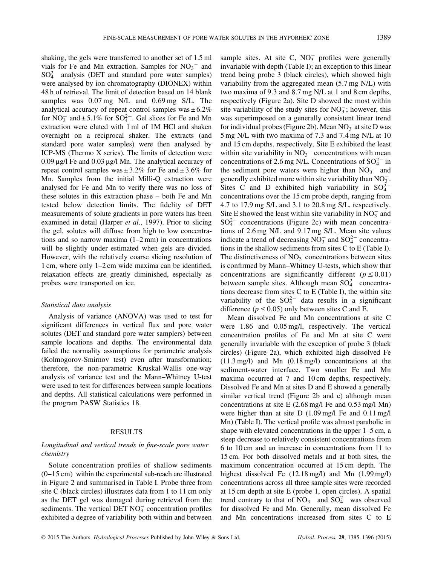shaking, the gels were transferred to another set of 1.5 ml vials for Fe and Mn extraction. Samples for  $NO<sub>3</sub><sup>-</sup>$  and  $SO_4^{2-}$  analysis (DET and standard pore water samples) were analysed by ion chromatography (DIONEX) within 48 h of retrieval. The limit of detection based on 14 blank samples was 0.07 mg N/L and 0.69 mg S/L. The analytical accuracy of repeat control samples was  $\pm 6.2\%$ for  $NO_3^-$  and  $\pm 5.1\%$  for  $SO_4^{2-}$ . Gel slices for Fe and Mn extraction were eluted with 1 ml of 1M HCl and shaken overnight on a reciprocal shaker. The extracts (and standard pore water samples) were then analysed by ICP-MS (Thermo X series). The limits of detection were 0.09 μg/l Fe and 0.03 μg/l Mn. The analytical accuracy of repeat control samples was  $\pm 3.2\%$  for Fe and  $\pm 3.6\%$  for Mn. Samples from the initial Milli-Q extraction were analysed for Fe and Mn to verify there was no loss of these solutes in this extraction phase – both Fe and Mn tested below detection limits. The fidelity of DET measurements of solute gradients in pore waters has been examined in detail (Harper *et al.*, 1997). Prior to slicing the gel, solutes will diffuse from high to low concentrations and so narrow maxima (1–2 mm) in concentrations will be slightly under estimated when gels are divided. However, with the relatively coarse slicing resolution of 1 cm, where only 1–2 cm wide maxima can be identified, relaxation effects are greatly diminished, especially as probes were transported on ice.

#### Statistical data analysis

Analysis of variance (ANOVA) was used to test for significant differences in vertical flux and pore water solutes (DET and standard pore water samplers) between sample locations and depths. The environmental data failed the normality assumptions for parametric analysis (Kolmogorov-Smirnov test) even after transformation; therefore, the non-parametric Kruskal-Wallis one-way analysis of variance test and the Mann–Whitney U-test were used to test for differences between sample locations and depths. All statistical calculations were performed in the program PASW Statistics 18.

#### RESULTS

#### Longitudinal and vertical trends in fine-scale pore water chemistry

Solute concentration profiles of shallow sediments (0–15 cm) within the experimental sub-reach are illustrated in Figure 2 and summarised in Table I. Probe three from site C (black circles) illustrates data from 1 to 11 cm only as the DET gel was damaged during retrieval from the sediments. The vertical DET  $NO<sub>3</sub><sup>-</sup>$  concentration profiles exhibited a degree of variability both within and between

sample sites. At site C,  $NO<sub>3</sub><sup>-</sup>$  profiles were generally invariable with depth (Table I); an exception to this linear trend being probe 3 (black circles), which showed high variability from the aggregated mean (5.7 mg N/L) with two maxima of 9.3 and 8.7 mg N/L at 1 and 8 cm depths, respectively (Figure 2a). Site D showed the most within site variability of the study sites for  $NO<sub>3</sub>$ ; however, this was superimposed on a generally consistent linear trend for individual probes (Figure 2b). Mean  $NO_3^-$  at site D was 5 mg N/L with two maxima of 7.3 and 7.4 mg N/L at 10 and 15 cm depths, respectively. Site E exhibited the least within site variability in  $NO<sub>3</sub><sup>-</sup>$  concentrations with mean concentrations of 2.6 mg N/L. Concentrations of  $SO_4^{2-}$  in the sediment pore waters were higher than  $NO<sub>3</sub><sup>-</sup>$  and generally exhibited more within site variability than  $NO_3^-$ . Sites C and D exhibited high variability in  $SO_4^{2-}$ concentrations over the 15 cm probe depth, ranging from 4.7 to 17.9 mg S/L and 3.1 to 20.8 mg S/L, respectively. Site E showed the least within site variability in  $NO_3^-$  and  $SO_4^{2-}$  concentrations (Figure 2c) with mean concentrations of 2.6 mg N/L and 9.17 mg S/L. Mean site values indicate a trend of decreasing  $NO_3^-$  and  $SO_4^{2-}$  concentrations in the shallow sediments from sites C to E (Table I). The distinctiveness of  $NO_3^-$  concentrations between sites is confirmed by Mann–Whitney U-tests, which show that concentrations are significantly different ( $p \le 0.01$ ) between sample sites. Although mean  $SO_4^{2-}$  concentrations decrease from sites C to E (Table I), the within site variability of the  $SO_4^{2-}$  data results in a significant difference ( $p \le 0.05$ ) only between sites C and E.

Mean dissolved Fe and Mn concentrations at site C were 1.86 and 0.05 mg/l, respectively. The vertical concentration profiles of Fe and Mn at site C were generally invariable with the exception of probe 3 (black circles) (Figure 2a), which exhibited high dissolved Fe (11.3 mg/l) and Mn (0.18 mg/l) concentrations at the sediment-water interface. Two smaller Fe and Mn maxima occurred at 7 and 10 cm depths, respectively. Dissolved Fe and Mn at sites D and E showed a generally similar vertical trend (Figure 2b and c) although mean concentrations at site E (2.68 mg/l Fe and 0.53 mg/l Mn) were higher than at site D (1.09 mg/l Fe and 0.11 mg/l Mn) (Table I). The vertical profile was almost parabolic in shape with elevated concentrations in the upper 1–5 cm, a steep decrease to relatively consistent concentrations from 6 to 10 cm and an increase in concentrations from 11 to 15 cm. For both dissolved metals and at both sites, the maximum concentration occurred at 15 cm depth. The highest dissolved Fe (12.18 mg/l) and Mn (1.99 mg/l) concentrations across all three sample sites were recorded at 15 cm depth at site E (probe 1, open circles). A spatial trend contrary to that of  $NO_3^-$  and  $SO_4^{2-}$  was observed for dissolved Fe and Mn. Generally, mean dissolved Fe and Mn concentrations increased from sites C to E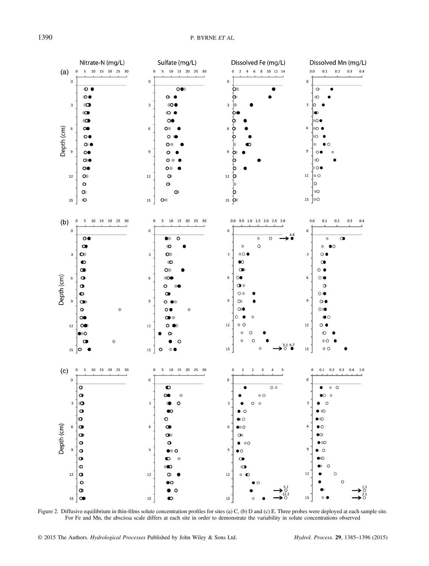

Figure 2. Diffusive equilibrium in thin-films solute concentration profiles for sites (a) C, (b) D and (c) E. Three probes were deployed at each sample site. For Fe and Mn, the abscissa scale differs at each site in order to demonstrate the variability in solute concentrations observed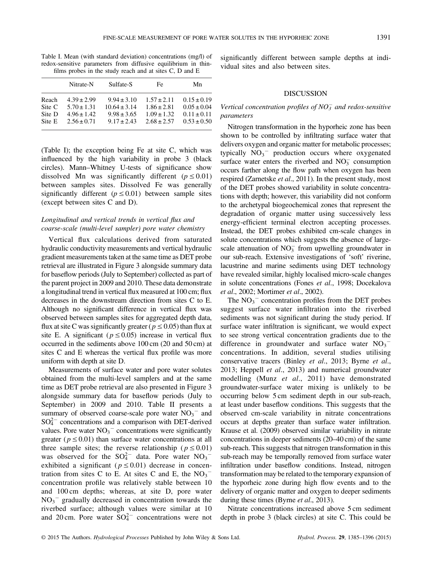Table I. Mean (with standard deviation) concentrations (mg/l) of redox-sensitive parameters from diffusive equilibrium in thinfilms probes in the study reach and at sites C, D and E

|                                     | Nitrate-N                                                                | Sulfate-S                                                                 | Fe                                                                       | Mn                                                                       |
|-------------------------------------|--------------------------------------------------------------------------|---------------------------------------------------------------------------|--------------------------------------------------------------------------|--------------------------------------------------------------------------|
| Reach<br>Site C<br>Site D<br>Site E | $4.39 \pm 2.99$<br>$5.70 \pm 1.31$<br>$4.96 \pm 1.42$<br>$2.56 \pm 0.71$ | $9.94 \pm 3.10$<br>$10.64 \pm 3.14$<br>$9.98 \pm 3.65$<br>$9.17 \pm 2.43$ | $1.57 \pm 2.11$<br>$1.86 \pm 2.81$<br>$1.09 \pm 1.32$<br>$2.68 \pm 2.57$ | $0.15 \pm 0.19$<br>$0.05 \pm 0.04$<br>$0.11 \pm 0.11$<br>$0.53 \pm 0.50$ |
|                                     |                                                                          |                                                                           |                                                                          |                                                                          |

(Table I); the exception being Fe at site C, which was influenced by the high variability in probe 3 (black circles). Mann–Whitney U-tests of significance show dissolved Mn was significantly different ( $p \le 0.01$ ) between samples sites. Dissolved Fe was generally significantly different ( $p \le 0.01$ ) between sample sites (except between sites C and D).

# Longitudinal and vertical trends in vertical flux and coarse-scale (multi-level sampler) pore water chemistry

Vertical flux calculations derived from saturated hydraulic conductivity measurements and vertical hydraulic gradient measurements taken at the same time as DET probe retrieval are illustrated in Figure 3 alongside summary data for baseflow periods (July to September) collected as part of the parent project in 2009 and 2010. These data demonstrate a longitudinal trend in vertical flux measured at 100 cm; flux decreases in the downstream direction from sites C to E. Although no significant difference in vertical flux was observed between samples sites for aggregated depth data, flux at site C was significantly greater ( $p \le 0.05$ ) than flux at site E. A significant ( $p \le 0.05$ ) increase in vertical flux occurred in the sediments above 100 cm (20 and 50 cm) at sites C and E whereas the vertical flux profile was more uniform with depth at site D.

Measurements of surface water and pore water solutes obtained from the multi-level samplers and at the same time as DET probe retrieval are also presented in Figure 3 alongside summary data for baseflow periods (July to September) in 2009 and 2010. Table II presents a summary of observed coarse-scale pore water  $NO<sub>3</sub><sup>-</sup>$  and  $SO_4^{2-}$  concentrations and a comparison with DET-derived values. Pore water  $NO<sub>3</sub><sup>-</sup>$  concentrations were significantly greater ( $p \le 0.01$ ) than surface water concentrations at all three sample sites; the reverse relationship ( $p \le 0.01$ ) was observed for the  $SO_4^{2-}$  data. Pore water  $NO_3^$ exhibited a significant ( $p \le 0.01$ ) decrease in concentration from sites C to E. At sites C and E, the  $NO<sub>3</sub>$ concentration profile was relatively stable between 10 and 100 cm depths; whereas, at site D, pore water  $NO<sub>3</sub><sup>-</sup>$  gradually decreased in concentration towards the riverbed surface; although values were similar at 10 and 20 cm. Pore water  $SO_4^{2-}$  concentrations were not

significantly different between sample depths at individual sites and also between sites.

#### DISCUSSION

## Vertical concentration profiles of  $NO_3^-$  and redox-sensitive parameters

Nitrogen transformation in the hyporheic zone has been shown to be controlled by infiltrating surface water that delivers oxygen and organic matter for metabolic processes; typically  $NO<sub>3</sub><sup>-</sup>$  production occurs where oxygenated surface water enters the riverbed and  $NO<sub>3</sub><sup>-</sup>$  consumption occurs farther along the flow path when oxygen has been respired (Zarnetske et al., 2011). In the present study, most of the DET probes showed variability in solute concentrations with depth; however, this variability did not conform to the archetypal biogeochemical zones that represent the degradation of organic matter using successively less energy-efficient terminal electron accepting processes. Instead, the DET probes exhibited cm-scale changes in solute concentrations which suggests the absence of largescale attenuation of  $NO_3^-$  from upwelling groundwater in our sub-reach. Extensive investigations of 'soft' riverine, lacustrine and marine sediments using DET technology have revealed similar, highly localised micro-scale changes in solute concentrations (Fones et al., 1998; Docekalova et al., 2002; Mortimer et al., 2002).

The  $NO<sub>3</sub><sup>-</sup>$  concentration profiles from the DET probes suggest surface water infiltration into the riverbed sediments was not significant during the study period. If surface water infiltration is significant, we would expect to see strong vertical concentration gradients due to the difference in groundwater and surface water  $NO<sub>3</sub>$ concentrations. In addition, several studies utilising conservative tracers (Binley et al., 2013; Byrne et al., 2013; Heppell et al., 2013) and numerical groundwater modelling (Munz *et al.*, 2011) have demonstrated groundwater-surface water mixing is unlikely to be occurring below 5 cm sediment depth in our sub-reach, at least under baseflow conditions. This suggests that the observed cm-scale variability in nitrate concentrations occurs at depths greater than surface water infiltration. Krause et al. (2009) observed similar variability in nitrate concentrations in deeper sediments (20–40 cm) of the same sub-reach. This suggests that nitrogen transformation in this sub-reach may be temporally removed from surface water infiltration under baseflow conditions. Instead, nitrogen transformation may be related to the temporary expansion of the hyporheic zone during high flow events and to the delivery of organic matter and oxygen to deeper sediments during these times (Byrne et al., 2013).

Nitrate concentrations increased above 5 cm sediment depth in probe 3 (black circles) at site C. This could be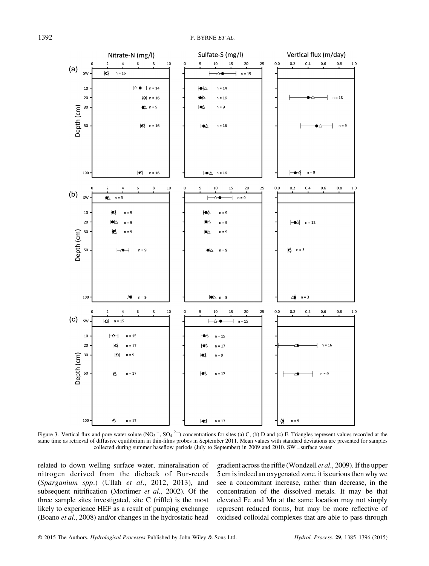

Figure 3. Vertical flux and pore water solute  $(NO<sub>3</sub><sup>-</sup>, SO<sub>4</sub><sup>2–</sup>)$  concentrations for sites (a) C, (b) D and (c) E. Triangles represent values recorded at the same time as retrieval of diffusive equilibrium in thin-films probes in September 2011. Mean values with standard deviations are presented for samples collected during summer baseflow periods (July to September) in 2009 and 2010. SW = surface water

related to down welling surface water, mineralisation of nitrogen derived from the dieback of Bur-reeds (Sparganium spp.) (Ullah et al., 2012, 2013), and subsequent nitrification (Mortimer et al., 2002). Of the three sample sites investigated, site C (riffle) is the most likely to experience HEF as a result of pumping exchange (Boano et al., 2008) and/or changes in the hydrostatic head gradient across the riffle (Wondzell et al., 2009). If the upper 5 cm is indeed an oxygenated zone, it is curious then why we see a concomitant increase, rather than decrease, in the concentration of the dissolved metals. It may be that elevated Fe and Mn at the same location may not simply represent reduced forms, but may be more reflective of oxidised colloidal complexes that are able to pass through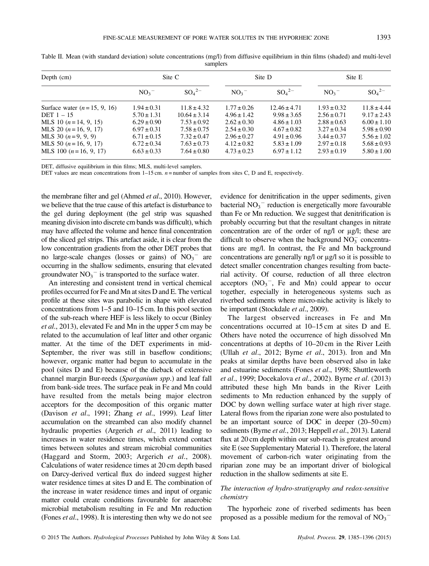| Depth (cm)                    | Site C          |                       | Site D              |                        | Site E              |                       |  |  |  |
|-------------------------------|-----------------|-----------------------|---------------------|------------------------|---------------------|-----------------------|--|--|--|
|                               | NO <sub>3</sub> | $SO_4^2$ <sup>-</sup> | $NO_3$ <sup>-</sup> | $SO_4^2$ <sup>-1</sup> | $NO_3$ <sup>-</sup> | $SO_4^2$ <sup>-</sup> |  |  |  |
| Surface water $(n=15, 9, 16)$ | $1.94 \pm 0.31$ | $11.8 \pm 4.32$       | $1.77 \pm 0.26$     | $12.46 \pm 4.71$       | $1.93 \pm 0.32$     | $11.8 \pm 4.44$       |  |  |  |
| DET $1 - 15$                  | $5.70 \pm 1.31$ | $10.64 \pm 3.14$      | $4.96 \pm 1.42$     | $9.98 \pm 3.65$        | $2.56 \pm 0.71$     | $9.17 \pm 2.43$       |  |  |  |
| MLS 10 $(n=14, 9, 15)$        | $6.29 \pm 0.90$ | $7.53 \pm 0.92$       | $2.62 \pm 0.30$     | $4.86 \pm 1.03$        | $2.88 \pm 0.63$     | $6.00 \pm 1.10$       |  |  |  |
| MLS 20 $(n=16, 9, 17)$        | $6.97 \pm 0.31$ | $7.58 \pm 0.75$       | $2.54 \pm 0.30$     | $4.67 \pm 0.82$        | $3.27 \pm 0.34$     | $5.98 \pm 0.90$       |  |  |  |
| MLS 30 $(n=9, 9, 9)$          | $6.71 \pm 0.15$ | $7.32 \pm 0.47$       | $2.96 \pm 0.27$     | $4.91 \pm 0.96$        | $3.44 \pm 0.37$     | $5.56 \pm 1.02$       |  |  |  |
| MLS 50 $(n=16, 9, 17)$        | $6.72 \pm 0.34$ | $7.63 \pm 0.73$       | $4.12 \pm 0.82$     | $5.83 \pm 1.09$        | $2.97 + 0.18$       | $5.68 \pm 0.93$       |  |  |  |
| MLS 100 $(n=16, 9, 17)$       | $6.63 \pm 0.33$ | $7.64 \pm 0.80$       | $4.73 \pm 0.23$     | $6.97 \pm 1.12$        | $2.93 \pm 0.19$     | $5.80 \pm 1.00$       |  |  |  |

Table II. Mean (with standard deviation) solute concentrations (mg/l) from diffusive equilibrium in thin films (shaded) and multi-level samplers

DET, diffusive equilibrium in thin films; MLS, multi-level samplers.

DET values are mean concentrations from  $1-15$  cm.  $n =$  number of samples from sites C, D and E, respectively.

the membrane filter and gel (Ahmed et al., 2010). However, we believe that the true cause of this artefact is disturbance to the gel during deployment (the gel strip was squashed meaning division into discrete cm bands was difficult), which may have affected the volume and hence final concentration of the sliced gel strips. This artefact aside, it is clear from the low concentration gradients from the other DET probes that no large-scale changes (losses or gains) of  $NO<sub>3</sub><sup>-</sup>$  are occurring in the shallow sediments, ensuring that elevated groundwater  $NO_3$ <sup>-</sup> is transported to the surface water.

An interesting and consistent trend in vertical chemical profiles occurred for Fe and Mn at sites D and E. The vertical profile at these sites was parabolic in shape with elevated concentrations from 1–5 and 10–15 cm. In this pool section of the sub-reach where HEF is less likely to occur (Binley et al., 2013), elevated Fe and Mn in the upper 5 cm may be related to the accumulation of leaf litter and other organic matter. At the time of the DET experiments in mid-September, the river was still in baseflow conditions; however, organic matter had begun to accumulate in the pool (sites D and E) because of the dieback of extensive channel margin Bur-reeds (Sparganium spp.) and leaf fall from bank-side trees. The surface peak in Fe and Mn could have resulted from the metals being major electron acceptors for the decomposition of this organic matter (Davison et al., 1991; Zhang et al., 1999). Leaf litter accumulation on the streambed can also modify channel hydraulic properties (Argerich et al., 2011) leading to increases in water residence times, which extend contact times between solutes and stream microbial communities (Haggard and Storm, 2003; Argerich et al., 2008). Calculations of water residence times at 20 cm depth based on Darcy-derived vertical flux do indeed suggest higher water residence times at sites D and E. The combination of the increase in water residence times and input of organic matter could create conditions favourable for anaerobic microbial metabolism resulting in Fe and Mn reduction (Fones *et al.*, 1998). It is interesting then why we do not see

evidence for denitrification in the upper sediments, given bacterial  $NO<sub>3</sub><sup>-</sup>$  reduction is energetically more favourable than Fe or Mn reduction. We suggest that denitrification is probably occurring but that the resultant changes in nitrate concentration are of the order of ng/l or μg/l; these are difficult to observe when the background  $NO<sub>3</sub><sup>-</sup>$  concentrations are mg/l. In contrast, the Fe and Mn background concentrations are generally ng/l or μg/l so it is possible to detect smaller concentration changes resulting from bacterial activity. Of course, reduction of all three electron acceptors  $(NO<sub>3</sub><sup>-</sup>, Fe and Mn) could appear to occur$ together, especially in heterogeneous systems such as riverbed sediments where micro-niche activity is likely to be important (Stockdale et al., 2009).

The largest observed increases in Fe and Mn concentrations occurred at 10–15 cm at sites D and E. Others have noted the occurrence of high dissolved Mn concentrations at depths of 10–20 cm in the River Leith (Ullah et al., 2012; Byrne et al., 2013). Iron and Mn peaks at similar depths have been observed also in lake and estuarine sediments (Fones et al., 1998; Shuttleworth et al., 1999; Docekalova et al., 2002). Byrne et al. (2013) attributed these high Mn bands in the River Leith sediments to Mn reduction enhanced by the supply of DOC by down welling surface water at high river stage. Lateral flows from the riparian zone were also postulated to be an important source of DOC in deeper (20–50 cm) sediments (Byrne et al., 2013; Heppell et al., 2013). Lateral flux at 20 cm depth within our sub-reach is greatest around site E (see Supplementary Material 1). Therefore, the lateral movement of carbon-rich water originating from the riparian zone may be an important driver of biological reduction in the shallow sediments at site E.

## The interaction of hydro-stratigraphy and redox-sensitive chemistry

The hyporheic zone of riverbed sediments has been proposed as a possible medium for the removal of  $NO<sub>3</sub><sup>-</sup>$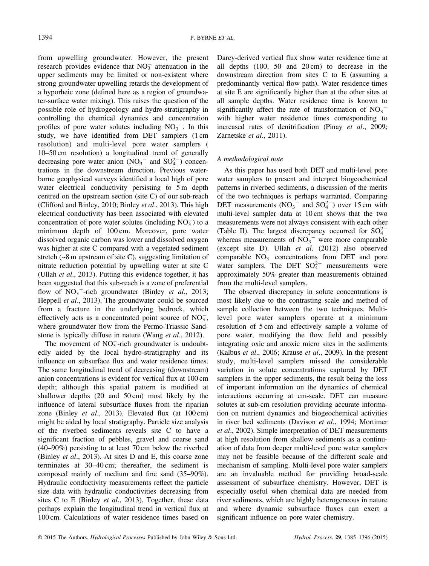from upwelling groundwater. However, the present research provides evidence that  $NO<sub>3</sub><sup>-</sup>$  attenuation in the upper sediments may be limited or non-existent where strong groundwater upwelling retards the development of a hyporheic zone (defined here as a region of groundwater-surface water mixing). This raises the question of the possible role of hydrogeology and hydro-stratigraphy in controlling the chemical dynamics and concentration profiles of pore water solutes including  $NO<sub>3</sub><sup>-</sup>$ . In this study, we have identified from DET samplers (1 cm resolution) and multi-level pore water samplers ( 10–50 cm resolution) a longitudinal trend of generally decreasing pore water anion  $(NO_3^-$  and  $SO_4^{2-})$  concentrations in the downstream direction. Previous waterborne geophysical surveys identified a local high of pore water electrical conductivity persisting to 5 m depth centred on the upstream section (site C) of our sub-reach (Clifford and Binley, 2010; Binley et al., 2013). This high electrical conductivity has been associated with elevated concentration of pore water solutes (including  $NO<sub>3</sub><sup>-</sup>$ ) to a minimum depth of 100 cm. Moreover, pore water dissolved organic carbon was lower and dissolved oxygen was higher at site C compared with a vegetated sediment stretch (~8 m upstream of site C), suggesting limitation of nitrate reduction potential by upwelling water at site C (Ullah et al., 2013). Putting this evidence together, it has been suggested that this sub-reach is a zone of preferential flow of  $NO_3$ <sup>-</sup>-rich groundwater (Binley *et al.*, 2013; Heppell et al., 2013). The groundwater could be sourced from a fracture in the underlying bedrock, which effectively acts as a concentrated point source of  $NO_3^-$ , where groundwater flow from the Permo-Triassic Sandstone is typically diffuse in nature (Wang *et al.*, 2012).

The movement of  $NO<sub>3</sub><sup>-</sup>$ rich groundwater is undoubtedly aided by the local hydro-stratigraphy and its influence on subsurface flux and water residence times. The same longitudinal trend of decreasing (downstream) anion concentrations is evident for vertical flux at 100 cm depth; although this spatial pattern is modified at shallower depths (20 and 50 cm) most likely by the influence of lateral subsurface fluxes from the riparian zone (Binley et al., 2013). Elevated flux (at 100 cm) might be aided by local stratigraphy. Particle size analysis of the riverbed sediments reveals site C to have a significant fraction of pebbles, gravel and coarse sand (40–90%) persisting to at least 70 cm below the riverbed (Binley et al., 2013). At sites D and E, this coarse zone terminates at 30–40 cm; thereafter, the sediment is composed mainly of medium and fine sand (35–90%). Hydraulic conductivity measurements reflect the particle size data with hydraulic conductivities decreasing from sites C to E (Binley et al., 2013). Together, these data perhaps explain the longitudinal trend in vertical flux at 100 cm. Calculations of water residence times based on Darcy-derived vertical flux show water residence time at all depths (100, 50 and 20 cm) to decrease in the downstream direction from sites C to E (assuming a predominantly vertical flow path). Water residence times at site E are significantly higher than at the other sites at all sample depths. Water residence time is known to significantly affect the rate of transformation of  $NO<sub>3</sub>$ <sup>-</sup> with higher water residence times corresponding to increased rates of denitrification (Pinay et al., 2009; Zarnetske et al., 2011).

## A methodological note

As this paper has used both DET and multi-level pore water samplers to present and interpret biogeochemical patterns in riverbed sediments, a discussion of the merits of the two techniques is perhaps warranted. Comparing DET measurements  $(NO_3$ <sup>-</sup> and  $SO_4^{2-}$ ) over 15 cm with multi-level sampler data at 10 cm shows that the two measurements were not always consistent with each other (Table II). The largest discrepancy occurred for  $SO_4^{2-}$ whereas measurements of  $NO<sub>3</sub><sup>-</sup>$  were more comparable (except site D). Ullah et al. (2012) also observed comparable  $NO<sub>3</sub><sup>-</sup>$  concentrations from DET and pore water samplers. The DET  $SO_4^{2-}$  measurements were approximately 50% greater than measurements obtained from the multi-level samplers.

The observed discrepancy in solute concentrations is most likely due to the contrasting scale and method of sample collection between the two techniques. Multilevel pore water samplers operate at a minimum resolution of 5 cm and effectively sample a volume of pore water, modifying the flow field and possibly integrating oxic and anoxic micro sites in the sediments (Kalbus et al., 2006; Krause et al., 2009). In the present study, multi-level samplers missed the considerable variation in solute concentrations captured by DET samplers in the upper sediments, the result being the loss of important information on the dynamics of chemical interactions occurring at cm-scale. DET can measure solutes at sub-cm resolution providing accurate information on nutrient dynamics and biogeochemical activities in river bed sediments (Davison et al., 1994; Mortimer et al., 2002). Simple interpretation of DET measurements at high resolution from shallow sediments as a continuation of data from deeper multi-level pore water samplers may not be feasible because of the different scale and mechanism of sampling. Multi-level pore water samplers are an invaluable method for providing broad-scale assessment of subsurface chemistry. However, DET is especially useful when chemical data are needed from river sediments, which are highly heterogeneous in nature and where dynamic subsurface fluxes can exert a significant influence on pore water chemistry.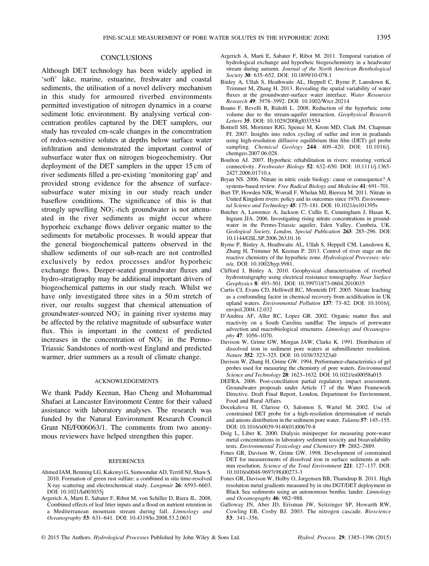#### **CONCLUSIONS**

Although DET technology has been widely applied in 'soft' lake, marine, estuarine, freshwater and coastal sediments, the utilisation of a novel delivery mechanism in this study for armoured riverbed environments permitted investigation of nitrogen dynamics in a coarse sediment lotic environment. By analysing vertical concentration profiles captured by the DET samplers, our study has revealed cm-scale changes in the concentration of redox-sensitive solutes at depths below surface water infiltration and demonstrated the important control of subsurface water flux on nitrogen biogeochemistry. Our deployment of the DET samplers in the upper 15 cm of river sediments filled a pre-existing 'monitoring gap' and provided strong evidence for the absence of surfacesubsurface water mixing in our study reach under baseflow conditions. The significance of this is that strongly upwelling  $NO<sub>3</sub><sup>-</sup>$ rich groundwater is not attenuated in the river sediments as might occur where hyporheic exchange flows deliver organic matter to the sediments for metabolic processes. It would appear that the general biogeochemical patterns observed in the shallow sediments of our sub-reach are not controlled exclusively by redox processes and/or hyporheic exchange flows. Deeper-seated groundwater fluxes and hydro-stratigraphy may be additional important drivers of biogeochemical patterns in our study reach. Whilst we have only investigated three sites in a 50 m stretch of river, our results suggest that chemical attenuation of groundwater-sourced  $NO<sub>3</sub><sup>-</sup>$  in gaining river systems may be affected by the relative magnitude of subsurface water flux. This is important in the context of predicted increases in the concentration of  $NO<sub>3</sub><sup>-</sup>$  in the Permo-Triassic Sandstones of north-west England and predicted warmer, drier summers as a result of climate change.

#### ACKNOWLEDGEMENTS

We thank Paddy Keenan, Hao Cheng and Mohammad Shafaei at Lancaster Environment Centre for their valued assistance with laboratory analyses. The research was funded by the Natural Environment Research Council Grant NE/F006063/1. The comments from two anonymous reviewers have helped strengthen this paper.

#### REFERENCES

- Ahmed IAM, Benning LG, Kakonyi G, Sumoondur AD, Terrill NJ, Shaw S. 2010. Formation of green rust sulfate: a combined in situ time-resolved X-ray scattering and electrochemical study. Langmuir 26: 6593–6603. DOI: 10.1021/la003035j
- Argerich A, Marti E, Sabater F, Ribot M, von Schiller D, Riera JL. 2008. Combined effects of leaf litter inputs and a flood on nutrient retention in a Mediterranean mountain stream during fall. Limnology and Oceanography 53: 631–641. DOI: 10.4319/lo.2008.53.2.0631
- Argerich A, Marti E, Sabater F, Ribot M. 2011. Temporal variation of hydrological exchange and hyporheic biogeochemistry in a headwater stream during autumn. Journal of the North American Benthological Society 30: 635-652. DOI: 10.1899/10-078.1
- Binley A, Ullah S, Heathwaite AL, Heppell C, Byrne P, Lansdown K, Trimmer M, Zhang H. 2013. Revealing the spatial variability of water fluxes at the groundwater-surface water interface. Water Resources Research 49: 3978–3992. DOI: 10.1002/Wrcr.20214
- Boano F, Revelli R, Ridolfi L. 2008. Reduction of the hyporheic zone volume due to the stream-aquifer interaction. Geophysical Research Letters 35. DOI: 10.1029/2008gl033554
- Bottrell SH, Mortimer RJG, Spence M, Krom MD, Clark JM, Chapman PJ. 2007. Insights into redox cycling of sulfur and iron in peatlands using high-resolution diffusive equilibrium thin film (DET) gel probe sampling. Chemical Geology 244: 409–420. DOI: 10.1016/j. chemgeo.2007.06.028.
- Boulton AJ. 2007. Hyporheic rehabilitation in rivers: restoring vertical connectivity. Freshwater Biology 52: 632–650. DOI: 10.1111/j.1365- 2427.2006.01710.x
- Bryan NS. 2006. Nitrate in nitric oxide biology: cause or consequence? A systems-based review. Free Radical Biology and Medicine 41: 691–701.
- Burt TP, Howden NJK, Worrall F, Whelan MJ, Bieroza M. 2011. Nitrate in United Kingdom rivers: policy and its outcomes since 1970. Environmental Science and Technology 45: 175–181. DOI: 10.1021/es101395s
- Butcher A, Lawrence A, Jackson C, Cullis E, Cunningham J, Hasan K, Ingram JJA. 2006. Investigating rising nitrate concentrations in groundwater in the Permo-Triassic aquifer, Eden Valley, Cumbria, UK. Geological Society, London, Special Publication 263: 285–296. DOI: 10.1144/GSL.SP.2006.263.01.16
- Byrne P, Binley A, Heathwaite AL, Ullah S, Heppell CM, Lansdown K, Zhang H, Trimmer M, Keenan P. 2013. Control of river stage on the reactive chemistry of the hyporheic zone. Hydrological Processes: n/an/a. DOI: 10.1002/hyp.9981.
- Clifford J, Binley A. 2010. Geophysical characterization of riverbed hydrostratigraphy using electrical resistance tomography. Near Surface Geophysics 8: 493–501. DOI: 10.3997/1873-0604.2010035
- Curtis CJ, Evans CD, Helliwell RC, Monteith DT. 2005. Nitrate leaching as a confounding factor in chemical recovery from acidification in UK upland waters. Environmental Pollution 137: 73–82. DOI: 10.1016/j. envpol.2004.12.032
- D'Andrea AF, Aller RC, Lopez GR. 2002. Organic matter flux and reactivity on a South Carolina sandflat: The impacts of porewater advection and macrobiological structures. Limnology and Oceanography 47: 1056–1070.
- Davison W, Grime GW, Morgan JAW, Clarke K. 1991. Distribution of dissolved iron in sediment pore waters at submillimeter resolution. Nature 352: 323–325. DOI: 10.1038/352323a0
- Davison W, Zhang H, Grime GW. 1994. Performance-characteristics of gel probes used for measuring the chemistry of pore waters. Environmental Science and Technology 28: 1623-1632. DOI: 10.1021/es00058a015
- DEFRA. 2006. Post-conciliation partial regulatory impact assessment. Groundwater proposals under Article 17 of the Water Framework Directive. Draft Final Report, London, Department for Environment, Food and Rural Affairs.
- Docekalova H, Clarisse O, Salomon S, Wartel M. 2002. Use of constrained DET probe for a high-resolution determination of metals and anions distribution in the sediment pore water. Talanta 57: 145–155. DOI: 10.1016/s0039-9140(01)00679-8
- Doig L, Liber K. 2000. Dialysis minipeeper for measuring pore-water metal concentrations in laboratory sediment toxicity and bioavailability tests. Environmental Toxicology and Chemistry 19: 2882–2889.
- Fones GR, Davison W, Grime GW. 1998. Development of constrained DET for measurements of dissolved iron in surface sediments at submm resolution. Science of the Total Environment 221: 127–137. DOI: 10.1016/s0048-9697(98)00273-3
- Fones GR, Davison W, Holby O, Jorgensen BB, Thamdrup B. 2011. High resolution metal gradients measured by in situ DGT/DET deployment in Black Sea sediments using an autonomous benthic lander. Limnology and Oceanography 46: 982–988.
- Galloway JN, Aber JD, Erisman JW, Seitzinger SP, Howarth RW, Cowling EB, Cosby BJ. 2003. The nitrogen cascade. Bioscience 53: 341–356.